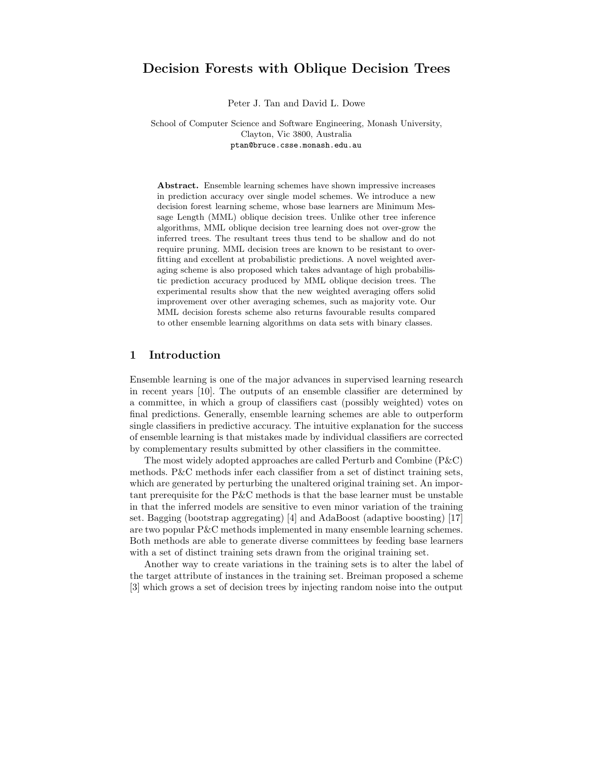# Decision Forests with Oblique Decision Trees

Peter J. Tan and David L. Dowe

School of Computer Science and Software Engineering, Monash University, Clayton, Vic 3800, Australia ptan@bruce.csse.monash.edu.au

Abstract. Ensemble learning schemes have shown impressive increases in prediction accuracy over single model schemes. We introduce a new decision forest learning scheme, whose base learners are Minimum Message Length (MML) oblique decision trees. Unlike other tree inference algorithms, MML oblique decision tree learning does not over-grow the inferred trees. The resultant trees thus tend to be shallow and do not require pruning. MML decision trees are known to be resistant to overfitting and excellent at probabilistic predictions. A novel weighted averaging scheme is also proposed which takes advantage of high probabilistic prediction accuracy produced by MML oblique decision trees. The experimental results show that the new weighted averaging offers solid improvement over other averaging schemes, such as majority vote. Our MML decision forests scheme also returns favourable results compared to other ensemble learning algorithms on data sets with binary classes.

# 1 Introduction

Ensemble learning is one of the major advances in supervised learning research in recent years [10]. The outputs of an ensemble classifier are determined by a committee, in which a group of classifiers cast (possibly weighted) votes on final predictions. Generally, ensemble learning schemes are able to outperform single classifiers in predictive accuracy. The intuitive explanation for the success of ensemble learning is that mistakes made by individual classifiers are corrected by complementary results submitted by other classifiers in the committee.

The most widely adopted approaches are called Perturb and Combine (P&C) methods. P&C methods infer each classifier from a set of distinct training sets, which are generated by perturbing the unaltered original training set. An important prerequisite for the P&C methods is that the base learner must be unstable in that the inferred models are sensitive to even minor variation of the training set. Bagging (bootstrap aggregating) [4] and AdaBoost (adaptive boosting) [17] are two popular P&C methods implemented in many ensemble learning schemes. Both methods are able to generate diverse committees by feeding base learners with a set of distinct training sets drawn from the original training set.

Another way to create variations in the training sets is to alter the label of the target attribute of instances in the training set. Breiman proposed a scheme [3] which grows a set of decision trees by injecting random noise into the output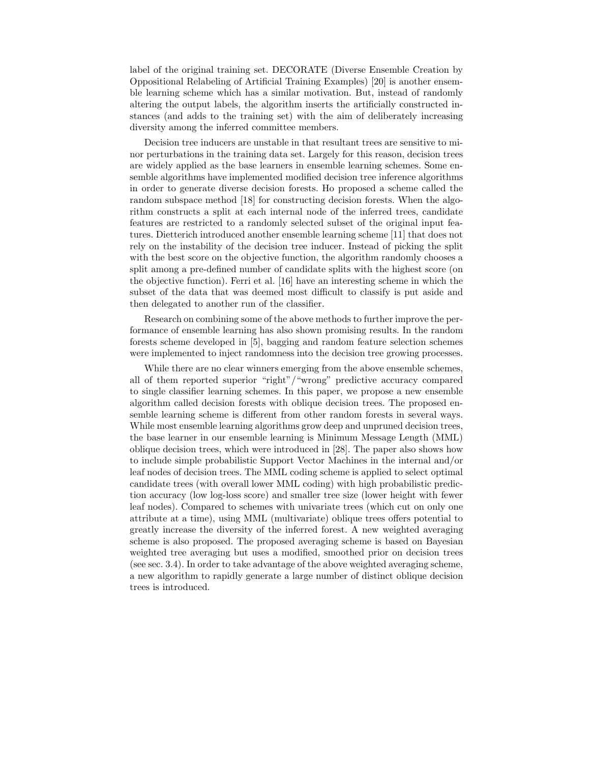label of the original training set. DECORATE (Diverse Ensemble Creation by Oppositional Relabeling of Artificial Training Examples) [20] is another ensemble learning scheme which has a similar motivation. But, instead of randomly altering the output labels, the algorithm inserts the artificially constructed instances (and adds to the training set) with the aim of deliberately increasing diversity among the inferred committee members.

Decision tree inducers are unstable in that resultant trees are sensitive to minor perturbations in the training data set. Largely for this reason, decision trees are widely applied as the base learners in ensemble learning schemes. Some ensemble algorithms have implemented modified decision tree inference algorithms in order to generate diverse decision forests. Ho proposed a scheme called the random subspace method [18] for constructing decision forests. When the algorithm constructs a split at each internal node of the inferred trees, candidate features are restricted to a randomly selected subset of the original input features. Dietterich introduced another ensemble learning scheme [11] that does not rely on the instability of the decision tree inducer. Instead of picking the split with the best score on the objective function, the algorithm randomly chooses a split among a pre-defined number of candidate splits with the highest score (on the objective function). Ferri et al. [16] have an interesting scheme in which the subset of the data that was deemed most difficult to classify is put aside and then delegated to another run of the classifier.

Research on combining some of the above methods to further improve the performance of ensemble learning has also shown promising results. In the random forests scheme developed in [5], bagging and random feature selection schemes were implemented to inject randomness into the decision tree growing processes.

While there are no clear winners emerging from the above ensemble schemes, all of them reported superior "right"/"wrong" predictive accuracy compared to single classifier learning schemes. In this paper, we propose a new ensemble algorithm called decision forests with oblique decision trees. The proposed ensemble learning scheme is different from other random forests in several ways. While most ensemble learning algorithms grow deep and unpruned decision trees, the base learner in our ensemble learning is Minimum Message Length (MML) oblique decision trees, which were introduced in [28]. The paper also shows how to include simple probabilistic Support Vector Machines in the internal and/or leaf nodes of decision trees. The MML coding scheme is applied to select optimal candidate trees (with overall lower MML coding) with high probabilistic prediction accuracy (low log-loss score) and smaller tree size (lower height with fewer leaf nodes). Compared to schemes with univariate trees (which cut on only one attribute at a time), using MML (multivariate) oblique trees offers potential to greatly increase the diversity of the inferred forest. A new weighted averaging scheme is also proposed. The proposed averaging scheme is based on Bayesian weighted tree averaging but uses a modified, smoothed prior on decision trees (see sec. 3.4). In order to take advantage of the above weighted averaging scheme, a new algorithm to rapidly generate a large number of distinct oblique decision trees is introduced.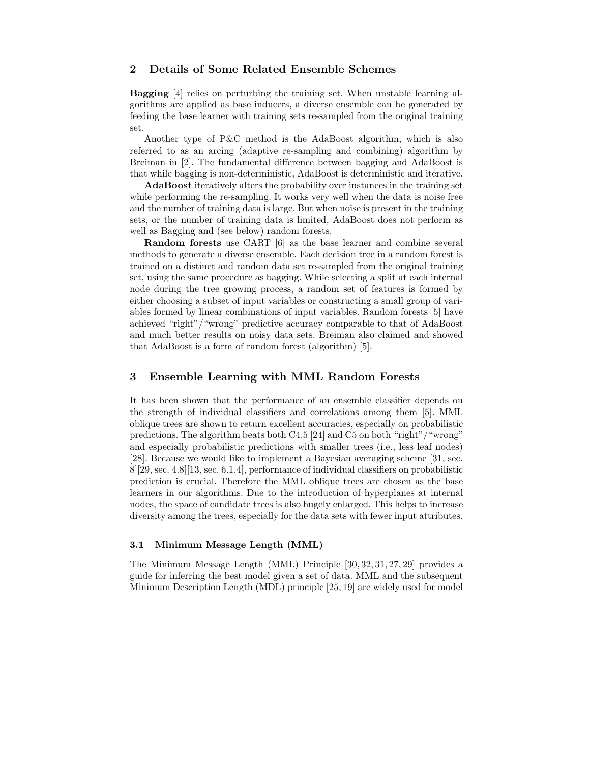# 2 Details of Some Related Ensemble Schemes

Bagging [4] relies on perturbing the training set. When unstable learning algorithms are applied as base inducers, a diverse ensemble can be generated by feeding the base learner with training sets re-sampled from the original training set.

Another type of P&C method is the AdaBoost algorithm, which is also referred to as an arcing (adaptive re-sampling and combining) algorithm by Breiman in [2]. The fundamental difference between bagging and AdaBoost is that while bagging is non-deterministic, AdaBoost is deterministic and iterative.

AdaBoost iteratively alters the probability over instances in the training set while performing the re-sampling. It works very well when the data is noise free and the number of training data is large. But when noise is present in the training sets, or the number of training data is limited, AdaBoost does not perform as well as Bagging and (see below) random forests.

Random forests use CART [6] as the base learner and combine several methods to generate a diverse ensemble. Each decision tree in a random forest is trained on a distinct and random data set re-sampled from the original training set, using the same procedure as bagging. While selecting a split at each internal node during the tree growing process, a random set of features is formed by either choosing a subset of input variables or constructing a small group of variables formed by linear combinations of input variables. Random forests [5] have achieved "right"/"wrong" predictive accuracy comparable to that of AdaBoost and much better results on noisy data sets. Breiman also claimed and showed that AdaBoost is a form of random forest (algorithm) [5].

# 3 Ensemble Learning with MML Random Forests

It has been shown that the performance of an ensemble classifier depends on the strength of individual classifiers and correlations among them [5]. MML oblique trees are shown to return excellent accuracies, especially on probabilistic predictions. The algorithm beats both  $C<sub>4.5</sub>$  [24] and C5 on both "right"/"wrong" and especially probabilistic predictions with smaller trees (i.e., less leaf nodes) [28]. Because we would like to implement a Bayesian averaging scheme [31, sec. 8][29, sec. 4.8][13, sec. 6.1.4], performance of individual classifiers on probabilistic prediction is crucial. Therefore the MML oblique trees are chosen as the base learners in our algorithms. Due to the introduction of hyperplanes at internal nodes, the space of candidate trees is also hugely enlarged. This helps to increase diversity among the trees, especially for the data sets with fewer input attributes.

# 3.1 Minimum Message Length (MML)

The Minimum Message Length (MML) Principle [30, 32, 31, 27, 29] provides a guide for inferring the best model given a set of data. MML and the subsequent Minimum Description Length (MDL) principle [25, 19] are widely used for model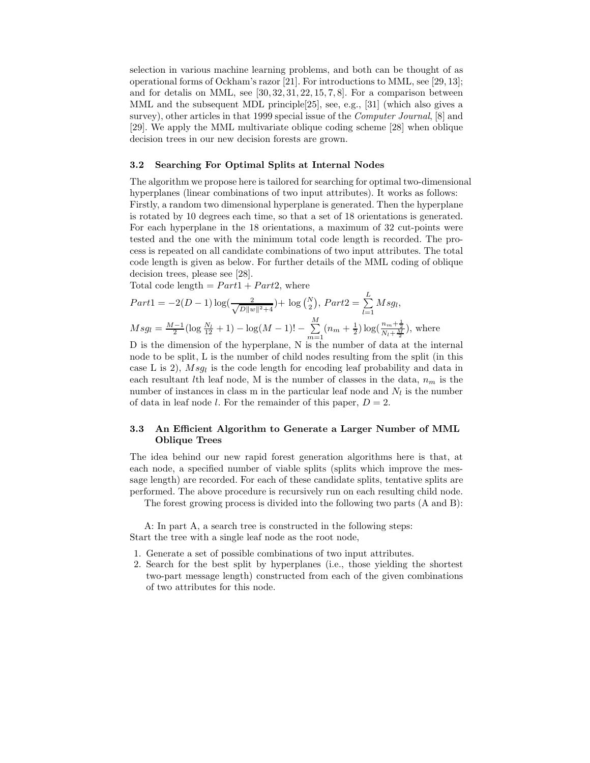selection in various machine learning problems, and both can be thought of as operational forms of Ockham's razor [21]. For introductions to MML, see [29, 13]; and for detalis on MML, see  $[30, 32, 31, 22, 15, 7, 8]$ . For a comparison between MML and the subsequent MDL principle[25], see, e.g., [31] (which also gives a survey), other articles in that 1999 special issue of the *Computer Journal*, [8] and [29]. We apply the MML multivariate oblique coding scheme [28] when oblique decision trees in our new decision forests are grown.

#### 3.2 Searching For Optimal Splits at Internal Nodes

The algorithm we propose here is tailored for searching for optimal two-dimensional hyperplanes (linear combinations of two input attributes). It works as follows: Firstly, a random two dimensional hyperplane is generated. Then the hyperplane is rotated by 10 degrees each time, so that a set of 18 orientations is generated. For each hyperplane in the 18 orientations, a maximum of 32 cut-points were tested and the one with the minimum total code length is recorded. The process is repeated on all candidate combinations of two input attributes. The total code length is given as below. For further details of the MML coding of oblique decision trees, please see [28].

Total code length =  $Part1 + Part2$ , where

$$
Part1 = -2(D - 1) \log(\frac{2}{\sqrt{D||w||^{2}+4}}) + \log {N \choose 2}, Part2 = \sum_{l=1}^{L} Msg_l,
$$
  
\n
$$
Msg_l = \frac{M-1}{2} (\log \frac{N_l}{12} + 1) - \log(M - 1)! - \sum_{m=1}^{M} (n_m + \frac{1}{2}) \log(\frac{n_m + \frac{1}{2}}{N_l + \frac{M}{2}}), where
$$

D is the dimension of the hyperplane, N is the number of data at the internal node to be split, L is the number of child nodes resulting from the split (in this case L is 2),  $Msgl$  is the code length for encoding leaf probability and data in each resultant *l*th leaf node, M is the number of classes in the data,  $n_m$  is the number of instances in class m in the particular leaf node and  $N_l$  is the number of data in leaf node *l*. For the remainder of this paper,  $D = 2$ .

### 3.3 An Efficient Algorithm to Generate a Larger Number of MML Oblique Trees

The idea behind our new rapid forest generation algorithms here is that, at each node, a specified number of viable splits (splits which improve the message length) are recorded. For each of these candidate splits, tentative splits are performed. The above procedure is recursively run on each resulting child node.

The forest growing process is divided into the following two parts (A and B):

A: In part A, a search tree is constructed in the following steps: Start the tree with a single leaf node as the root node,

- 1. Generate a set of possible combinations of two input attributes.
- 2. Search for the best split by hyperplanes (i.e., those yielding the shortest two-part message length) constructed from each of the given combinations of two attributes for this node.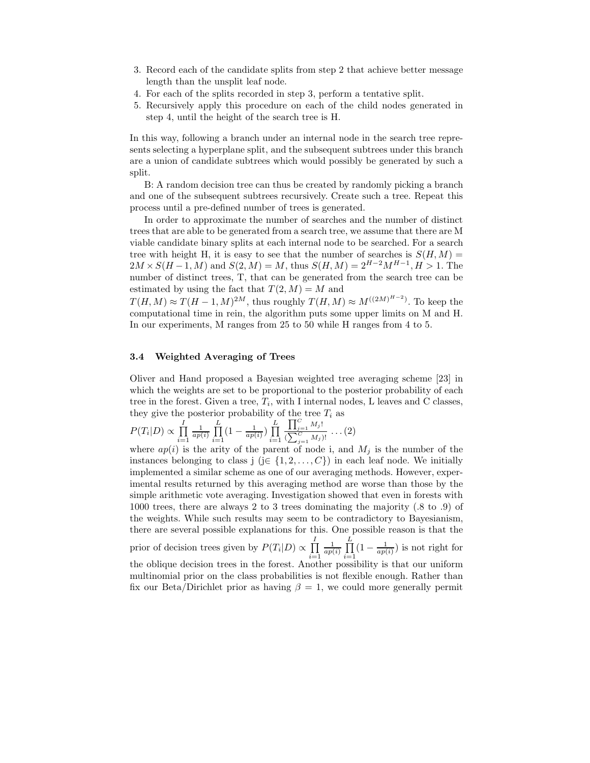- 3. Record each of the candidate splits from step 2 that achieve better message length than the unsplit leaf node.
- 4. For each of the splits recorded in step 3, perform a tentative split.
- 5. Recursively apply this procedure on each of the child nodes generated in step 4, until the height of the search tree is H.

In this way, following a branch under an internal node in the search tree represents selecting a hyperplane split, and the subsequent subtrees under this branch are a union of candidate subtrees which would possibly be generated by such a split.

B: A random decision tree can thus be created by randomly picking a branch and one of the subsequent subtrees recursively. Create such a tree. Repeat this process until a pre-defined number of trees is generated.

In order to approximate the number of searches and the number of distinct trees that are able to be generated from a search tree, we assume that there are M viable candidate binary splits at each internal node to be searched. For a search tree with height H, it is easy to see that the number of searches is  $S(H, M) =$  $2M \times S(H-1, M)$  and  $S(2, M) = M$ , thus  $S(H, M) = 2^{H-2}M^{H-1}$ ,  $H > 1$ . The number of distinct trees, T, that can be generated from the search tree can be estimated by using the fact that  $T(2, M) = M$  and

 $T(H, M) \approx T(H-1, M)^{2M}$ , thus roughly  $T(H, M) \approx M^{((2M)^{H-2})}$ . To keep the computational time in rein, the algorithm puts some upper limits on M and H. In our experiments, M ranges from 25 to 50 while H ranges from 4 to 5.

#### 3.4 Weighted Averaging of Trees

Oliver and Hand proposed a Bayesian weighted tree averaging scheme [23] in which the weights are set to be proportional to the posterior probability of each tree in the forest. Given a tree,  $T_i$ , with I internal nodes, L leaves and C classes, they give the posterior probability of the tree  $T_i$  as

$$
P(T_i|D) \propto \prod_{i=1}^{I} \frac{1}{ap(i)} \prod_{i=1}^{L} \left(1 - \frac{1}{ap(i)}\right) \prod_{i=1}^{L} \frac{\prod_{j=1}^{C} M_j!}{\left(\sum_{j=1}^{C} M_j\right)!} \dots (2)
$$

where  $ap(i)$  is the arity of the parent of node i, and  $M_j$  is the number of the instances belonging to class j (j∈  $\{1, 2, \ldots, C\}$ ) in each leaf node. We initially implemented a similar scheme as one of our averaging methods. However, experimental results returned by this averaging method are worse than those by the simple arithmetic vote averaging. Investigation showed that even in forests with 1000 trees, there are always 2 to 3 trees dominating the majority (.8 to .9) of the weights. While such results may seem to be contradictory to Bayesianism, there are several possible explanations for this. One possible reason is that the prior of decision trees given by  $P(T_i|D) \propto \prod_{i=1}^{I}$  $i=1$  $rac{1}{ap(i)} \prod_{i=1}^{L}$  $\prod_{i=1} (1 - \frac{1}{ap(i)})$  is not right for the oblique decision trees in the forest. Another possibility is that our uniform multinomial prior on the class probabilities is not flexible enough. Rather than fix our Beta/Dirichlet prior as having  $\beta = 1$ , we could more generally permit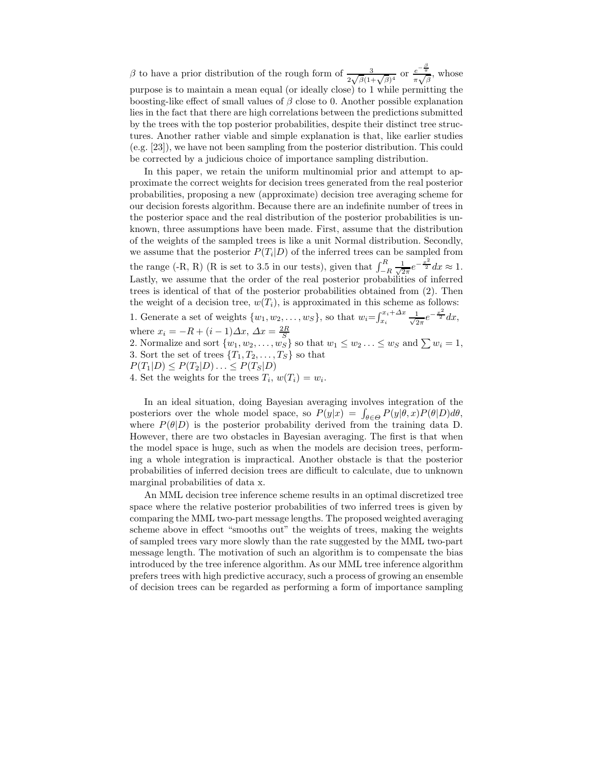β to have a prior distribution of the rough form of  $\frac{3}{2\sqrt{\beta(1+\sqrt{\beta})^4}}$  or  $\frac{e^{-\frac{\beta}{\pi}}}{\pi\sqrt{\beta}}$  $rac{\epsilon}{\pi\sqrt{\beta}}$ , whose purpose is to maintain a mean equal (or ideally close) to 1 while permitting the boosting-like effect of small values of  $\beta$  close to 0. Another possible explanation lies in the fact that there are high correlations between the predictions submitted by the trees with the top posterior probabilities, despite their distinct tree structures. Another rather viable and simple explanation is that, like earlier studies (e.g. [23]), we have not been sampling from the posterior distribution. This could be corrected by a judicious choice of importance sampling distribution.

In this paper, we retain the uniform multinomial prior and attempt to approximate the correct weights for decision trees generated from the real posterior probabilities, proposing a new (approximate) decision tree averaging scheme for our decision forests algorithm. Because there are an indefinite number of trees in the posterior space and the real distribution of the posterior probabilities is unknown, three assumptions have been made. First, assume that the distribution of the weights of the sampled trees is like a unit Normal distribution. Secondly, we assume that the posterior  $P(T_i|D)$  of the inferred trees can be sampled from the range (-R, R) (R is set to 3.5 in our tests), given that  $\int_{-R}^{R} \frac{1}{\sqrt{2}}$  $\frac{1}{2\pi}e^{-\frac{x^2}{2}}dx \approx 1.$ Lastly, we assume that the order of the real posterior probabilities of inferred trees is identical of that of the posterior probabilities obtained from (2). Then the weight of a decision tree,  $w(T_i)$ , is approximated in this scheme as follows: 1. Generate a set of weights  $\{w_1, w_2, \ldots, w_S\}$ , so that  $w_i = \int_{x_i}^{x_i + \Delta x} \frac{1}{\sqrt{2}}$  $\frac{1}{2\pi}e^{-\frac{x^2}{2}}dx,$ where  $x_i = -R + (i - 1)\Delta x$ ,  $\Delta x = \frac{2R}{S}$ <br>2. Normalize and sort  $\{w_1, w_2, \dots, w_S\}$  so that  $w_1 \leq w_2 \dots \leq w_S$  and  $\sum w_i = 1$ , 3. Sort the set of trees  $\{T_1, T_2, \ldots, T_S\}$  so that  $P(T_1|D) \leq P(T_2|D) \ldots \leq P(T_S|D)$ 4. Set the weights for the trees  $T_i$ ,  $w(T_i) = w_i$ .

In an ideal situation, doing Bayesian averaging involves integration of the posteriors over the whole model space, so  $P(y|x) = \int_{\theta \in \Theta} P(y|\theta, x) P(\theta|D) d\theta$ , where  $P(\theta|D)$  is the posterior probability derived from the training data D. However, there are two obstacles in Bayesian averaging. The first is that when the model space is huge, such as when the models are decision trees, performing a whole integration is impractical. Another obstacle is that the posterior probabilities of inferred decision trees are difficult to calculate, due to unknown marginal probabilities of data x.

An MML decision tree inference scheme results in an optimal discretized tree space where the relative posterior probabilities of two inferred trees is given by comparing the MML two-part message lengths. The proposed weighted averaging scheme above in effect "smooths out" the weights of trees, making the weights of sampled trees vary more slowly than the rate suggested by the MML two-part message length. The motivation of such an algorithm is to compensate the bias introduced by the tree inference algorithm. As our MML tree inference algorithm prefers trees with high predictive accuracy, such a process of growing an ensemble of decision trees can be regarded as performing a form of importance sampling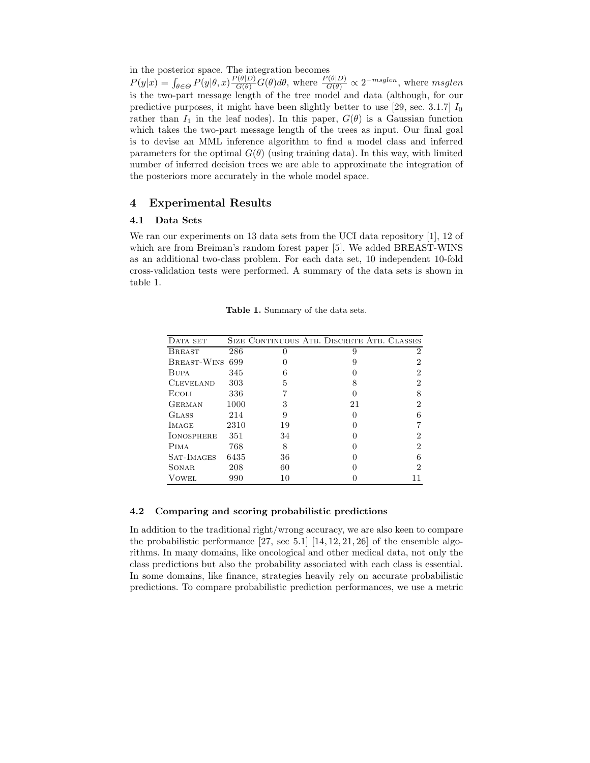in the posterior space. The integration becomes

 $P(y|x) = \int_{\theta \in \Theta} P(y|\theta, x) \frac{P(\theta|D)}{G(\theta)} G(\theta) d\theta$ , where  $\frac{P(\theta|D)}{G(\theta)} \propto 2^{-msglen}$ , where msglen is the two-part message length of the tree model and data (although, for our predictive purposes, it might have been slightly better to use [29, sec. 3.1.7]  $I_0$ rather than  $I_1$  in the leaf nodes). In this paper,  $G(\theta)$  is a Gaussian function which takes the two-part message length of the trees as input. Our final goal is to devise an MML inference algorithm to find a model class and inferred parameters for the optimal  $G(\theta)$  (using training data). In this way, with limited number of inferred decision trees we are able to approximate the integration of the posteriors more accurately in the whole model space.

# 4 Experimental Results

### 4.1 Data Sets

We ran our experiments on 13 data sets from the UCI data repository [1], 12 of which are from Breiman's random forest paper [5]. We added BREAST-WINS as an additional two-class problem. For each data set, 10 independent 10-fold cross-validation tests were performed. A summary of the data sets is shown in table 1.

| DATA SET          |      | SIZE CONTINUOUS ATB. DISCRETE ATB. CLASSES |    |                |
|-------------------|------|--------------------------------------------|----|----------------|
| <b>BREAST</b>     | 286  |                                            | 9  | 2              |
| BREAST-WINS       | 699  |                                            | 9  | $\overline{2}$ |
| <b>BUPA</b>       | 345  | 6                                          |    | 2              |
| <b>CLEVELAND</b>  | 303  | 5                                          | 8  | 2              |
| ECOLI             | 336  |                                            |    | 8              |
| <b>GERMAN</b>     | 1000 | 3                                          | 21 | $\overline{2}$ |
| <b>GLASS</b>      | 214  | 9                                          |    | 6              |
| IMAGE             | 2310 | 19                                         |    | 7              |
| <b>IONOSPHERE</b> | 351  | 34                                         |    | $\overline{2}$ |
| <b>PIMA</b>       | 768  | 8                                          |    | 2              |
| SAT-IMAGES        | 6435 | 36                                         |    | 6              |
| SONAR             | 208  | 60                                         |    | $\overline{2}$ |
| VOWEL             | 990  | 10                                         |    | 11             |

Table 1. Summary of the data sets.

#### 4.2 Comparing and scoring probabilistic predictions

In addition to the traditional right/wrong accuracy, we are also keen to compare the probabilistic performance  $[27, \text{ sec } 5.1]$   $[14, 12, 21, 26]$  of the ensemble algorithms. In many domains, like oncological and other medical data, not only the class predictions but also the probability associated with each class is essential. In some domains, like finance, strategies heavily rely on accurate probabilistic predictions. To compare probabilistic prediction performances, we use a metric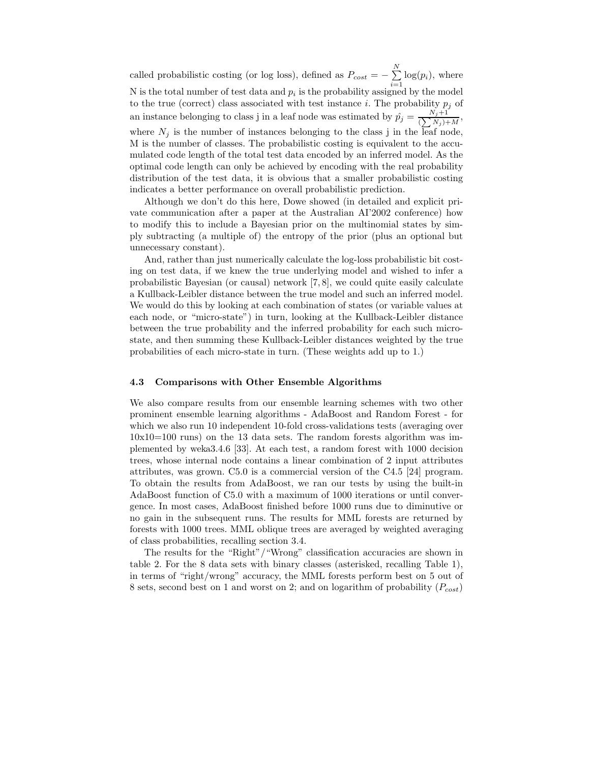called probabilistic costing (or log loss), defined as  $P_{cost} = -\sum_{i=1}^{N}$  $\sum_{i=1}$  log( $p_i$ ), where N is the total number of test data and  $p_i$  is the probability assigned by the model to the true (correct) class associated with test instance i. The probability  $p_j$  of an instance belonging to class j in a leaf node was estimated by  $\hat{p}_j = \frac{N_j+1}{(\sum N_j)_{j+1}}$  $\frac{N_j+1}{(\sum N_j)+M},$ where  $N_j$  is the number of instances belonging to the class j in the leaf node, M is the number of classes. The probabilistic costing is equivalent to the accumulated code length of the total test data encoded by an inferred model. As the optimal code length can only be achieved by encoding with the real probability distribution of the test data, it is obvious that a smaller probabilistic costing indicates a better performance on overall probabilistic prediction.

Although we don't do this here, Dowe showed (in detailed and explicit private communication after a paper at the Australian AI'2002 conference) how to modify this to include a Bayesian prior on the multinomial states by simply subtracting (a multiple of) the entropy of the prior (plus an optional but unnecessary constant).

And, rather than just numerically calculate the log-loss probabilistic bit costing on test data, if we knew the true underlying model and wished to infer a probabilistic Bayesian (or causal) network [7, 8], we could quite easily calculate a Kullback-Leibler distance between the true model and such an inferred model. We would do this by looking at each combination of states (or variable values at each node, or "micro-state") in turn, looking at the Kullback-Leibler distance between the true probability and the inferred probability for each such microstate, and then summing these Kullback-Leibler distances weighted by the true probabilities of each micro-state in turn. (These weights add up to 1.)

#### 4.3 Comparisons with Other Ensemble Algorithms

We also compare results from our ensemble learning schemes with two other prominent ensemble learning algorithms - AdaBoost and Random Forest - for which we also run 10 independent 10-fold cross-validations tests (averaging over  $10x10=100$  runs) on the 13 data sets. The random forests algorithm was implemented by weka3.4.6 [33]. At each test, a random forest with 1000 decision trees, whose internal node contains a linear combination of 2 input attributes attributes, was grown. C5.0 is a commercial version of the C4.5 [24] program. To obtain the results from AdaBoost, we ran our tests by using the built-in AdaBoost function of C5.0 with a maximum of 1000 iterations or until convergence. In most cases, AdaBoost finished before 1000 runs due to diminutive or no gain in the subsequent runs. The results for MML forests are returned by forests with 1000 trees. MML oblique trees are averaged by weighted averaging of class probabilities, recalling section 3.4.

The results for the "Right"/"Wrong" classification accuracies are shown in table 2. For the 8 data sets with binary classes (asterisked, recalling Table 1), in terms of "right/wrong" accuracy, the MML forests perform best on 5 out of 8 sets, second best on 1 and worst on 2; and on logarithm of probability  $(P_{cost})$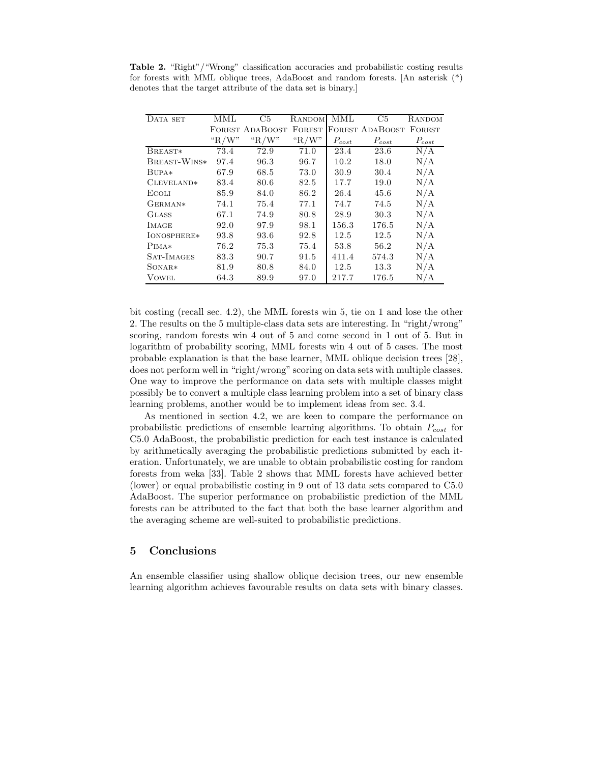Table 2. "Right"/"Wrong" classification accuracies and probabilistic costing results for forests with MML oblique trees, AdaBoost and random forests. [An asterisk (\*) denotes that the target attribute of the data set is binary.]

| DATA SET     | MML       | C5                     | RANDOM        | <b>MML</b> | C5                     | RANDOM        |
|--------------|-----------|------------------------|---------------|------------|------------------------|---------------|
|              |           | <b>FOREST ADABOOST</b> | <b>FOREST</b> |            | <b>FOREST ADABOOST</b> | <b>FOREST</b> |
|              | " $R/W$ " | " $R/W$ "              | " $R/W$ "     | $P_{cost}$ | $P_{cost}$             | $P_{cost}$    |
| BREAST*      | 73.4      | 72.9                   | 71.0          | 23.4       | 23.6                   | N/A           |
| BREAST-WINS* | 97.4      | 96.3                   | 96.7          | 10.2       | 18.0                   | N/A           |
| $BUPA*$      | 67.9      | 68.5                   | 73.0          | 30.9       | 30.4                   | N/A           |
| CLEVELAND*   | 83.4      | 80.6                   | 82.5          | 17.7       | 19.0                   | N/A           |
| ECOLI        | 85.9      | 84.0                   | 86.2          | 26.4       | 45.6                   | N/A           |
| GERMAN*      | 74.1      | 75.4                   | 77.1          | 74.7       | 74.5                   | N/A           |
| <b>GLASS</b> | 67.1      | 74.9                   | 80.8          | 28.9       | 30.3                   | N/A           |
| <b>IMAGE</b> | 92.0      | 97.9                   | 98.1          | 156.3      | 176.5                  | N/A           |
| IONOSPHERE*  | 93.8      | 93.6                   | 92.8          | 12.5       | 12.5                   | N/A           |
| PIMAx        | 76.2      | 75.3                   | 75.4          | 53.8       | 56.2                   | N/A           |
| SAT-IMAGES   | 83.3      | 90.7                   | 91.5          | 411.4      | 574.3                  | N/A           |
| SONAR*       | 81.9      | 80.8                   | 84.0          | 12.5       | 13.3                   | N/A           |
| <b>VOWEL</b> | 64.3      | 89.9                   | 97.0          | 217.7      | 176.5                  | N/A           |

bit costing (recall sec. 4.2), the MML forests win 5, tie on 1 and lose the other 2. The results on the 5 multiple-class data sets are interesting. In "right/wrong" scoring, random forests win 4 out of 5 and come second in 1 out of 5. But in logarithm of probability scoring, MML forests win 4 out of 5 cases. The most probable explanation is that the base learner, MML oblique decision trees [28], does not perform well in "right/wrong" scoring on data sets with multiple classes. One way to improve the performance on data sets with multiple classes might possibly be to convert a multiple class learning problem into a set of binary class learning problems, another would be to implement ideas from sec. 3.4.

As mentioned in section 4.2, we are keen to compare the performance on probabilistic predictions of ensemble learning algorithms. To obtain  $P_{cost}$  for C5.0 AdaBoost, the probabilistic prediction for each test instance is calculated by arithmetically averaging the probabilistic predictions submitted by each iteration. Unfortunately, we are unable to obtain probabilistic costing for random forests from weka [33]. Table 2 shows that MML forests have achieved better (lower) or equal probabilistic costing in 9 out of 13 data sets compared to C5.0 AdaBoost. The superior performance on probabilistic prediction of the MML forests can be attributed to the fact that both the base learner algorithm and the averaging scheme are well-suited to probabilistic predictions.

# 5 Conclusions

An ensemble classifier using shallow oblique decision trees, our new ensemble learning algorithm achieves favourable results on data sets with binary classes.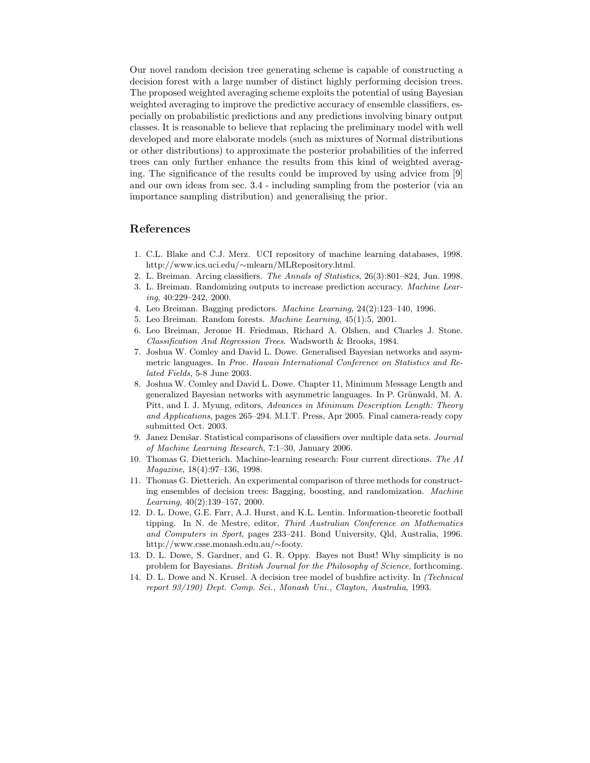Our novel random decision tree generating scheme is capable of constructing a decision forest with a large number of distinct highly performing decision trees. The proposed weighted averaging scheme exploits the potential of using Bayesian weighted averaging to improve the predictive accuracy of ensemble classifiers, especially on probabilistic predictions and any predictions involving binary output classes. It is reasonable to believe that replacing the preliminary model with well developed and more elaborate models (such as mixtures of Normal distributions or other distributions) to approximate the posterior probabilities of the inferred trees can only further enhance the results from this kind of weighted averaging. The significance of the results could be improved by using advice from [9] and our own ideas from sec. 3.4 - including sampling from the posterior (via an importance sampling distribution) and generalising the prior.

# References

- 1. C.L. Blake and C.J. Merz. UCI repository of machine learning databases, 1998. http://www.ics.uci.edu/∼mlearn/MLRepository.html.
- 2. L. Breiman. Arcing classifiers. The Annals of Statistics, 26(3):801–824, Jun. 1998.
- 3. L. Breiman. Randomizing outputs to increase prediction accuracy. Machine Learing, 40:229–242, 2000.
- 4. Leo Breiman. Bagging predictors. Machine Learning, 24(2):123–140, 1996.
- 5. Leo Breiman. Random forests. Machine Learning, 45(1):5, 2001.
- 6. Leo Breiman, Jerome H. Friedman, Richard A. Olshen, and Charles J. Stone. Classification And Regression Trees. Wadsworth & Brooks, 1984.
- 7. Joshua W. Comley and David L. Dowe. Generalised Bayesian networks and asymmetric languages. In Proc. Hawaii International Conference on Statistics and Related Fields, 5-8 June 2003.
- 8. Joshua W. Comley and David L. Dowe. Chapter 11, Minimum Message Length and generalized Bayesian networks with asymmetric languages. In P. Grünwald, M. A. Pitt, and I. J. Myung, editors, Advances in Minimum Description Length: Theory and Applications, pages 265–294. M.I.T. Press, Apr 2005. Final camera-ready copy submitted Oct. 2003.
- 9. Janez Demšar. Statistical comparisons of classifiers over multiple data sets. Journal of Machine Learning Research, 7:1–30, January 2006.
- 10. Thomas G. Dietterich. Machine-learning research: Four current directions. The AI Magazine, 18(4):97–136, 1998.
- 11. Thomas G. Dietterich. An experimental comparison of three methods for constructing ensembles of decision trees: Bagging, boosting, and randomization. Machine Learning, 40(2):139–157, 2000.
- 12. D. L. Dowe, G.E. Farr, A.J. Hurst, and K.L. Lentin. Information-theoretic football tipping. In N. de Mestre, editor, Third Australian Conference on Mathematics and Computers in Sport, pages 233–241. Bond University, Qld, Australia, 1996. http://www.csse.monash.edu.au/∼footy.
- 13. D. L. Dowe, S. Gardner, and G. R. Oppy. Bayes not Bust! Why simplicity is no problem for Bayesians. British Journal for the Philosophy of Science, forthcoming.
- 14. D. L. Dowe and N. Krusel. A decision tree model of bushfire activity. In (Technical report 93/190) Dept. Comp. Sci., Monash Uni., Clayton, Australia, 1993.